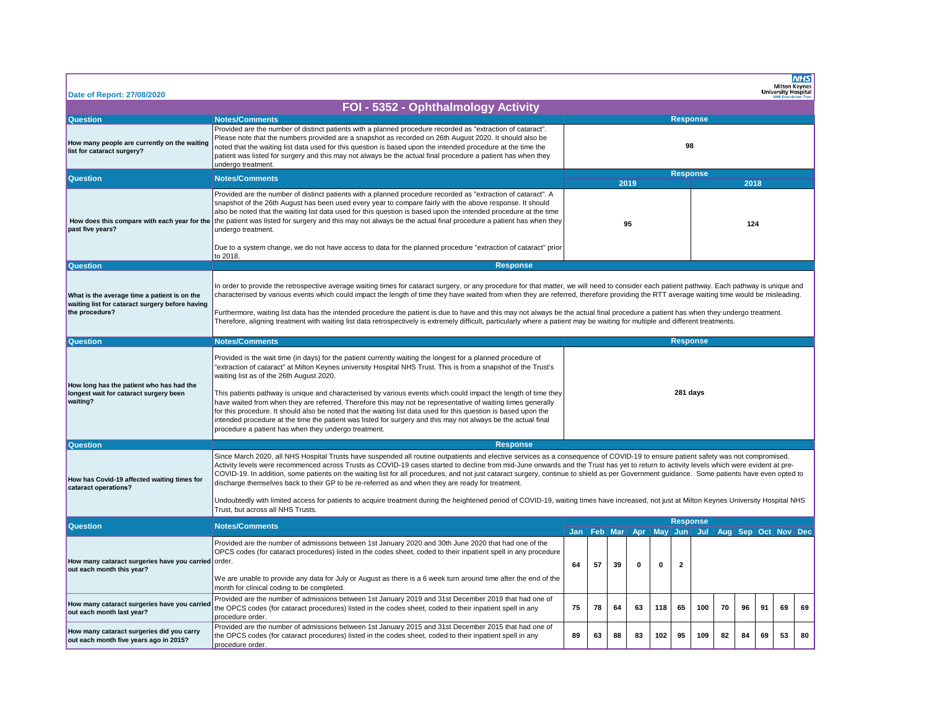| Date of Report: 27/08/2020                                                                                        |                                                                                                                                                                                                                                                                                                                                                                                                                                                                                                                                                                                                                                                                                                                                                                                                                                                                                                                      |                                                                                          |                                 |    |          |     |                |     |     |    |    | Milton Keynes<br>University Hospital | <b>NHS</b> |  |  |
|-------------------------------------------------------------------------------------------------------------------|----------------------------------------------------------------------------------------------------------------------------------------------------------------------------------------------------------------------------------------------------------------------------------------------------------------------------------------------------------------------------------------------------------------------------------------------------------------------------------------------------------------------------------------------------------------------------------------------------------------------------------------------------------------------------------------------------------------------------------------------------------------------------------------------------------------------------------------------------------------------------------------------------------------------|------------------------------------------------------------------------------------------|---------------------------------|----|----------|-----|----------------|-----|-----|----|----|--------------------------------------|------------|--|--|
|                                                                                                                   | FOI - 5352 - Ophthalmology Activity                                                                                                                                                                                                                                                                                                                                                                                                                                                                                                                                                                                                                                                                                                                                                                                                                                                                                  |                                                                                          |                                 |    |          |     |                |     |     |    |    |                                      |            |  |  |
| <b>Question</b>                                                                                                   | <b>Notes/Comments</b>                                                                                                                                                                                                                                                                                                                                                                                                                                                                                                                                                                                                                                                                                                                                                                                                                                                                                                | <b>Response</b>                                                                          |                                 |    |          |     |                |     |     |    |    |                                      |            |  |  |
| How many people are currently on the waiting<br>list for cataract surgery?                                        | Provided are the number of distinct patients with a planned procedure recorded as "extraction of cataract".<br>Please note that the numbers provided are a snapshot as recorded on 26th August 2020. It should also be<br>noted that the waiting list data used for this question is based upon the intended procedure at the time the<br>patient was listed for surgery and this may not always be the actual final procedure a patient has when they<br>undergo treatment.                                                                                                                                                                                                                                                                                                                                                                                                                                         | 98                                                                                       |                                 |    |          |     |                |     |     |    |    |                                      |            |  |  |
| <b>Question</b>                                                                                                   | <b>Notes/Comments</b>                                                                                                                                                                                                                                                                                                                                                                                                                                                                                                                                                                                                                                                                                                                                                                                                                                                                                                |                                                                                          | <b>Response</b><br>2019<br>2018 |    |          |     |                |     |     |    |    |                                      |            |  |  |
| How does this compare with each year for the<br>past five years?                                                  | Provided are the number of distinct patients with a planned procedure recorded as "extraction of cataract". A<br>snapshot of the 26th August has been used every year to compare fairly with the above response. It should<br>also be noted that the waiting list data used for this question is based upon the intended procedure at the time<br>the patient was listed for surgery and this may not always be the actual final procedure a patient has when they<br>undergo treatment.<br>Due to a system change, we do not have access to data for the planned procedure "extraction of cataract" prior<br>to 2018.                                                                                                                                                                                                                                                                                               |                                                                                          | 95                              |    |          |     |                |     | 124 |    |    |                                      |            |  |  |
| <b>Question</b>                                                                                                   | <b>Response</b>                                                                                                                                                                                                                                                                                                                                                                                                                                                                                                                                                                                                                                                                                                                                                                                                                                                                                                      |                                                                                          |                                 |    |          |     |                |     |     |    |    |                                      |            |  |  |
| What is the average time a patient is on the<br>waiting list for cataract surgery before having<br>the procedure? | In order to provide the retrospective average waiting times for cataract surgery, or any procedure for that matter, we will need to consider each patient pathway. Each pathway is unique and<br>characterised by various events which could impact the length of time they have waited from when they are referred, therefore providing the RTT average waiting time would be misleading.<br>Furthermore, waiting list data has the intended procedure the patient is due to have and this may not always be the actual final procedure a patient has when they undergo treatment.<br>Therefore, aligning treatment with waiting list data retrospectively is extremely difficult, particularly where a patient may be waiting for multiple and different treatments.                                                                                                                                               |                                                                                          |                                 |    |          |     |                |     |     |    |    |                                      |            |  |  |
| <b>Question</b>                                                                                                   | <b>Notes/Comments</b>                                                                                                                                                                                                                                                                                                                                                                                                                                                                                                                                                                                                                                                                                                                                                                                                                                                                                                | <b>Response</b>                                                                          |                                 |    |          |     |                |     |     |    |    |                                      |            |  |  |
| How long has the patient who has had the<br>longest wait for cataract surgery been<br>waiting?                    | Provided is the wait time (in days) for the patient currently waiting the longest for a planned procedure of<br>"extraction of cataract" at Milton Keynes university Hospital NHS Trust. This is from a snapshot of the Trust's<br>waiting list as of the 26th August 2020.<br>This patients pathway is unique and characterised by various events which could impact the length of time they<br>have waited from when they are referred. Therefore this may not be representative of waiting times generally<br>for this procedure. It should also be noted that the waiting list data used for this question is based upon the<br>intended procedure at the time the patient was listed for surgery and this may not always be the actual final<br>procedure a patient has when they undergo treatment.                                                                                                            | 281 days                                                                                 |                                 |    |          |     |                |     |     |    |    |                                      |            |  |  |
| <b>Question</b>                                                                                                   | <b>Response</b>                                                                                                                                                                                                                                                                                                                                                                                                                                                                                                                                                                                                                                                                                                                                                                                                                                                                                                      |                                                                                          |                                 |    |          |     |                |     |     |    |    |                                      |            |  |  |
| How has Covid-19 affected waiting times for<br>cataract operations?                                               | Since March 2020, all NHS Hospital Trusts have suspended all routine outpatients and elective services as a consequence of COVID-19 to ensure patient safety was not compromised.<br>Activity levels were recommenced across Trusts as COVID-19 cases started to decline from mid-June onwards and the Trust has yet to return to activity levels which were evident at pre-<br>COVID-19. In addition, some patients on the waiting list for all procedures, and not just cataract surgery, continue to shield as per Government guidance. Some patients have even opted to<br>discharge themselves back to their GP to be re-referred as and when they are ready for treatment.<br>Undoubtedly with limited access for patients to acquire treatment during the heightened period of COVID-19, waiting times have increased, not just at Milton Keynes University Hospital NHS<br>Trust, but across all NHS Trusts. |                                                                                          |                                 |    |          |     |                |     |     |    |    |                                      |            |  |  |
| <b>Question</b>                                                                                                   | <b>Notes/Comments</b>                                                                                                                                                                                                                                                                                                                                                                                                                                                                                                                                                                                                                                                                                                                                                                                                                                                                                                | <b>Response</b><br>Jan   Feb   Mar   Apr<br>May Jun<br>Jul   Aug   Sep   Oct   Nov   Dec |                                 |    |          |     |                |     |     |    |    |                                      |            |  |  |
| How many cataract surgeries have you carried order.<br>out each month this year?                                  | Provided are the number of admissions between 1st January 2020 and 30th June 2020 that had one of the<br>OPCS codes (for cataract procedures) listed in the codes sheet, coded to their inpatient spell in any procedure<br>We are unable to provide any data for July or August as there is a 6 week turn around time after the end of the<br>month for clinical coding to be completed.                                                                                                                                                                                                                                                                                                                                                                                                                                                                                                                            | 64                                                                                       | 57                              | 39 | $\Omega$ | 0   | $\overline{2}$ |     |     |    |    |                                      |            |  |  |
| How many cataract surgeries have you carried<br>out each month last year?                                         | Provided are the number of admissions between 1st January 2019 and 31st December 2019 that had one of<br>the OPCS codes (for cataract procedures) listed in the codes sheet, coded to their inpatient spell in any<br>procedure order.                                                                                                                                                                                                                                                                                                                                                                                                                                                                                                                                                                                                                                                                               | 75                                                                                       | 78                              | 64 | 63       | 118 | 65             | 100 | 70  | 96 | 91 | 69                                   | 69         |  |  |
| How many cataract surgeries did you carry<br>out each month five years ago in 2015?                               | Provided are the number of admissions between 1st January 2015 and 31st December 2015 that had one of<br>the OPCS codes (for cataract procedures) listed in the codes sheet, coded to their inpatient spell in any<br>procedure order.                                                                                                                                                                                                                                                                                                                                                                                                                                                                                                                                                                                                                                                                               | 89                                                                                       | 63                              | 88 | 83       | 102 | 95             | 109 | 82  | 84 | 69 | 53                                   | 80         |  |  |